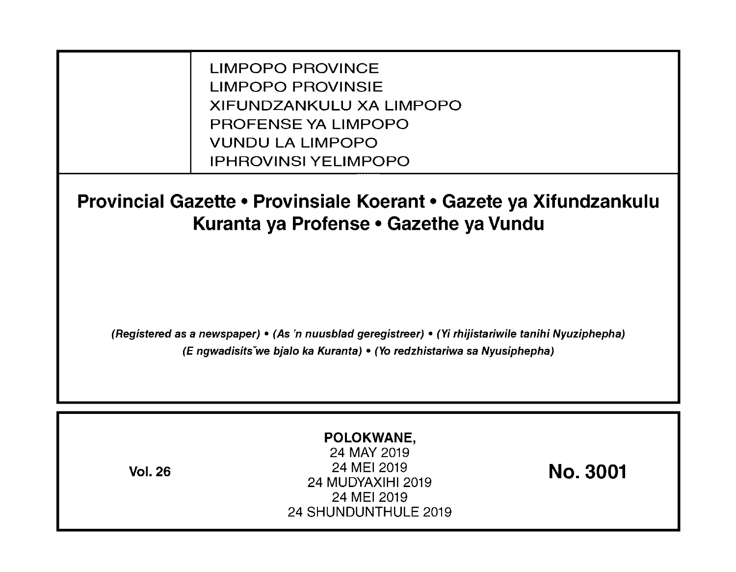LIMPOPO PROVINCE LIMPOPO PROVINSIE XIFUNDZANKULU XA LIMPOPO PROFENSE YA LIMPOPO VUNDU LA LIMPOPO IPHROVINSI YELIMPOPO

**Provincial Gazette • Provinsiale Koerant • Gazete ya Xifundzankulu Kuranta ya Profense • Gazethe ya Vundu** 

(Registered as a newspaper) • (As 'n nuusblad geregistreer) • (Yi rhijistariwile tanihi Nyuziphepha) (E ngwadisits we bjalo ka Kuranta) • (Yo redzhistariwa sa Nyusiphepha)

| <b>Vol. 26</b> | POLOKWANE,<br>24 MAY 2019<br>24 MEI 2019<br>24 MUDYAXIHI 2019<br>24 MEI 2019<br>24 SHUNDUNTHULE 2019 | <b>No. 3001</b> |
|----------------|------------------------------------------------------------------------------------------------------|-----------------|
|----------------|------------------------------------------------------------------------------------------------------|-----------------|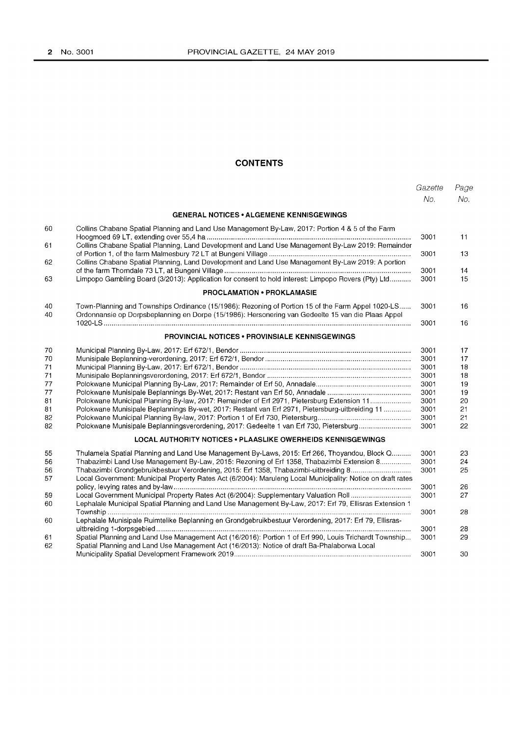## **CONTENTS**

|          |                                                                                                                                                                                                         | Gazette<br>No. | Page<br>No. |
|----------|---------------------------------------------------------------------------------------------------------------------------------------------------------------------------------------------------------|----------------|-------------|
|          | <b>GENERAL NOTICES • ALGEMENE KENNISGEWINGS</b>                                                                                                                                                         |                |             |
| 60       | Collins Chabane Spatial Planning and Land Use Management By-Law, 2017: Portion 4 & 5 of the Farm                                                                                                        | 3001           | 11          |
| 61       | Collins Chabane Spatial Planning, Land Development and Land Use Management By-Law 2019: Remainder                                                                                                       | 3001           | 13          |
| 62       | Collins Chabane Spatial Planning, Land Development and Land Use Management By-Law 2019: A portion                                                                                                       | 3001           | 14          |
| 63       | Limpopo Gambling Board (3/2013): Application for consent to hold interest: Limpopo Rovers (Pty) Ltd                                                                                                     | 3001           | 15          |
|          | <b>PROCLAMATION • PROKLAMASIE</b>                                                                                                                                                                       |                |             |
| 40<br>40 | Town-Planning and Townships Ordinance (15/1986): Rezoning of Portion 15 of the Farm Appel 1020-LS<br>Ordonnansie op Dorpsbeplanning en Dorpe (15/1986): Hersonering van Gedeelte 15 van die Plaas Appel | 3001           | 16          |
|          |                                                                                                                                                                                                         | 3001           | 16          |
|          | <b>PROVINCIAL NOTICES . PROVINSIALE KENNISGEWINGS</b>                                                                                                                                                   |                |             |
| 70       |                                                                                                                                                                                                         | 3001           | 17          |
| 70       |                                                                                                                                                                                                         | 3001           | 17          |
| 71       |                                                                                                                                                                                                         | 3001           | 18          |
| 71       |                                                                                                                                                                                                         | 3001           | 18          |
| 77       |                                                                                                                                                                                                         | 3001           | 19          |
| 77       |                                                                                                                                                                                                         | 3001           | 19          |
| 81       | Polokwane Municipal Planning By-law, 2017: Remainder of Erf 2971, Pietersburg Extension 11                                                                                                              | 3001           | 20          |
| 81       | Polokwane Munisipale Beplannings By-wet, 2017: Restant van Erf 2971, Pietersburg-uitbreiding 11                                                                                                         | 3001           | 21          |
| 82       |                                                                                                                                                                                                         | 3001           | 21          |
| 82       | Polokwane Munisipale Beplanningsverordening, 2017: Gedeelte 1 van Erf 730, Pietersburg                                                                                                                  | 3001           | 22          |
|          | <b>LOCAL AUTHORITY NOTICES . PLAASLIKE OWERHEIDS KENNISGEWINGS</b>                                                                                                                                      |                |             |
| 55       | Thulamela Spatial Planning and Land Use Management By-Laws, 2015: Erf 266, Thoyandou, Block Q                                                                                                           | 3001           | 23          |
| 56       | Thabazimbi Land Use Management By-Law, 2015: Rezoning of Erf 1358, Thabazimbi Extension 8                                                                                                               | 3001           | 24          |
| 56<br>57 | Thabazimbi Grondgebruikbestuur Verordening, 2015: Erf 1358, Thabazimbi-uitbreiding 8<br>Local Government: Municipal Property Rates Act (6/2004): Maruleng Local Municipality: Notice on draft rates     | 3001           | 25          |
|          |                                                                                                                                                                                                         | 3001           | 26          |
| 59<br>60 | Lephalale Municipal Spatial Planning and Land Use Management By-Law, 2017: Erf 79, Ellisras Extension 1                                                                                                 | 3001           | 27          |
|          |                                                                                                                                                                                                         | 3001           | 28          |
| 60       | Lephalale Munisipale Ruimtelike Beplanning en Grondgebruikbestuur Verordening, 2017: Erf 79, Ellisras-                                                                                                  |                |             |
|          |                                                                                                                                                                                                         | 3001           | 28          |
| 61<br>62 | Spatial Planning and Land Use Management Act (16/2016): Portion 1 of Erf 990, Louis Trichardt Township<br>Spatial Planning and Land Use Management Act (16/2013): Notice of draft Ba-Phalaborwa Local   | 3001           | 29          |
|          |                                                                                                                                                                                                         | 3001           | 30          |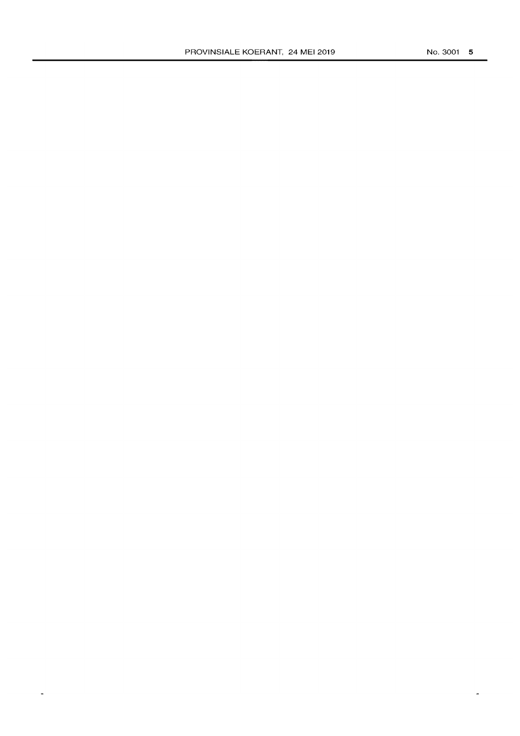$\ddot{\phantom{a}}$ 

 $\hat{\phantom{a}}$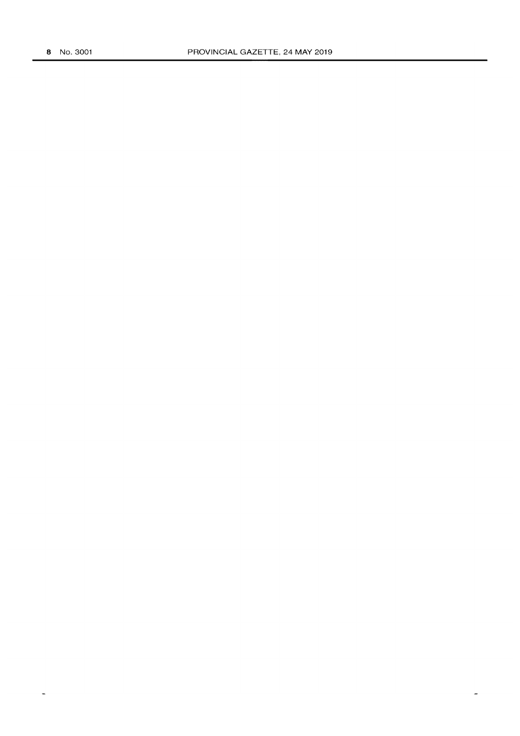$\ddot{\phantom{1}}$ 

 $\overline{\phantom{a}}$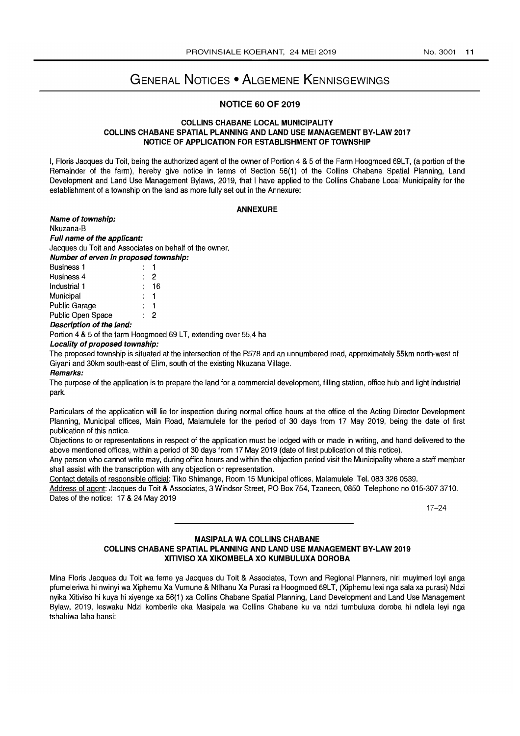# GENERAL NOTICES • ALGEMENE KENNISGEWINGS

## NOTICE 60 OF 2019

### COLLINS CHABANE LOCAL MUNICIPALITY COLLINS CHABANE SPATIAL PLANNING AND LAND USE MANAGEMENT BY-LAW 2017 NOTICE OF APPLICATION FOR ESTABLISHMENT OF TOWNSHIP

I, Floris Jacques du Toit, being the authorized agent of the owner of Portion 4 & 5 of the Farm Hoogmoed 69LT, (a portion of the Remainder of the farm), hereby give notice in terms of Section 56(1) of the Collins Chabane Spatial Planning, Land Development and Land Use Management Bylaws, 2019, that I have applied to the Collins Chabane Local Municipality for the establishment of a township on the land as more fully set out in the Annexure:

#### ANNEXURE

Name of township: Nkuzana-B

Full name of the applicant:

Jacques du Toit and Associates on behalf of the owner.

Number of erven in proposed township:

| HUMBU UI CHICH III PIUDUSEU LUINI |   |     |  |
|-----------------------------------|---|-----|--|
| <b>Business 1</b>                 |   |     |  |
| <b>Business 4</b>                 |   | 2   |  |
| Industrial 1                      |   | -16 |  |
| Municipal                         |   |     |  |
| Public Garage                     |   |     |  |
| Public Open Space                 | ٠ | 2   |  |
| Description of the land:          |   |     |  |

Portion 4 & 5 of the farm Hoogmoed 69 LT, extending over 55,4 ha

#### Locality of proposed township:

The proposed township is situated at the intersection of the R578 and an unnumbered road, approximately 55km north-west of Giyani and 30km south-east of Elim, south of the existing Nkuzana Village.

#### Remarks:

The purpose of the application is to prepare the land for a commercial development, filling station, office hub and light industrial park.

Particulars of the application will lie for inspection during normal office hours at the office of the Acting Director Development Planning, Municipal offices, Main Road, Malamulele for the period of 30 days from 17 May 2019, being the date of first publication of this notice.

Objections to or representations in respect of the application must be lodged with or made in writing, and hand delivered to the above mentioned offices, within a period of 30 days from 17 May 2019 (date of first publication of this notice).

Any person who cannot write may, during office hours and within the objection period visit the Municipality where a staff member shall assist with the transcription with any objection or representation.

Contact details of responsible official: Tiko Shimange, Room 15 Municipal offices, Malamulele Tel. 0833260539.

Address of agent: Jacques du Toit & Associates, 3 Windsor Street, PO Box 754, Tzaneen, 0850 Telephone no 015-3073710. Dates of the notice: 17 & 24 May 2019

17-24

#### MASIPALA WA COLLINS CHABANE COLLINS CHABANE SPATIAL PLANNING AND LAND USE MANAGEMENT BY-LAW 2019 XITIVISO XA XIKOMBELA XO KUMBULUXA DOROBA

Mina Floris Jacques du Toit wa feme ya Jacques du Toit & Associates, Town and Regional Planners, niri muyimeri loyi anga pfumeleriwa hi nwinyi wa Xiphemu Xa Vumune & Ntlhanu Xa Purasi ra Hoogmoed 69LT, (Xiphemu lexi nga sala xa purasi) Ndzi nyika Xitiviso hi kuya hi xiyenge xa 56(1) xa Collins Chabane Spatial Planning, Land Development and Land Use Management Bylaw, 2019, leswaku Ndzi komberile eka Masipala wa Collins Chabane ku va ndzi tumbuluxa doroba hi ndlela leyi nga tshahiwa laha hansi: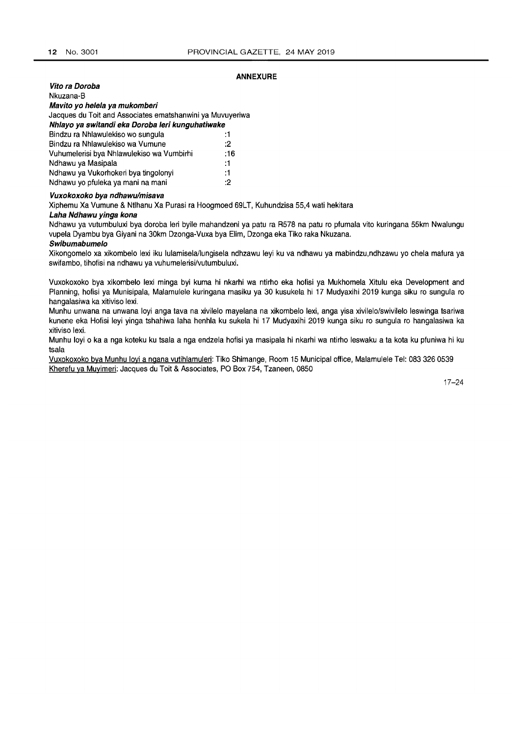#### **ANNEXURE**

### **Vito ra Doroba**

| Nkuzana-B                                                 |     |  |
|-----------------------------------------------------------|-----|--|
| Mavito yo helela ya mukomberi                             |     |  |
| Jacques du Toit and Associates ematshanwini ya Muvuyeriwa |     |  |
| Nhlayo ya switandi eka Doroba leri kunguhatiwake          |     |  |
| Bindzu ra Nhlawulekiso wo sungula                         | :1  |  |
| Bindzu ra Nhlawulekiso wa Vumune                          | :2  |  |
| Vuhumelerisi bya Nhlawulekiso wa Vumbirhi                 | :16 |  |
| Ndhawu ya Masipala                                        | :1  |  |
| Ndhawu ya Vukorhokeri bya tingolonyi                      | :1  |  |
| Ndhawu yo pfuleka ya mani na mani                         | :2  |  |

#### **Vuxokoxoko bya ndhawu/misava**

Xiphemu Xa Vumune & Ntlhanu Xa Purasi ra Hoogmoed 69LT, Kuhundzisa 55,4 wati hekitara

## **Laha Ndhawu yinga kona**

Ndhawu ya vutumbuluxi bya doroba leri byile mahandzeni ya patu ra R578 na patu ro pfumala vito kuringana 55km Nwalungu vupela Dyambu bya Giyani na 30km Dzonga-Vuxa bya Elim, Dzonga eka Tiko raka Nkuzana.

## **Swibumabumelo**

Xikongomelo xa xikombelo lexi iku lulamiselaJlungisela ndhzawu leyi ku va ndhawu ya mabindzu,ndhzawu yo chela mafura ya swifambo, tihofisi na ndhawu ya vuhumelerisi/vutumbuluxi.

Vuxokoxoko bya xikombelo lexi minga byi kuma hi nkarhi wa ntirho eka hofisi ya Mukhomela Xitulu eka Development and Planning, hofisi ya Munisipala, Malamulele kuringana masiku ya 30 kusukela hi 17 Mudyaxihi 2019 kunga siku ro sungula ro hangalasiwa ka xitiviso lexi.

Munhu unwana na unwana loyi anga lava na xivilelo mayelana na xikombelo lexi, anga yisa xivilelo/swivilelo leswinga tsariwa kunene eka Hofisi leyi yinga tshahiwa laha henhla ku sukela hi 17 Mudyaxihi 2019 kunga siku ro sungula ro hangalasiwa ka xitiviso lexi.

Munhu loyi o ka a nga koteku ku tsala a nga endzela hofisi ya masipala hi nkarhi wa ntirho leswaku a ta kota ku pfuniwa hi ku tsala

Vuxokoxoko bya Munhu loyi a ngana vutihlamuleri: Tiko Shimange, Room 15 Municipal office, Malamulele Tel: 083 326 0539 Kherefu ya Muyimeri: Jacques du Toit & Associates, PO Box 754, Tzaneen, 0850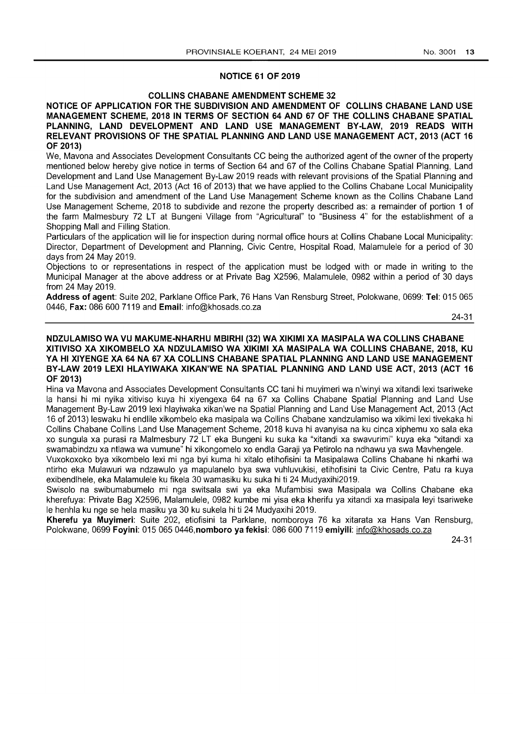#### NOTICE 61 OF 2019

#### COLLINS CHABANE AMENDMENT SCHEME 32

### NOTICE OF APPLICATION FOR THE SUBDIVISION AND AMENDMENT OF COLLINS CHABANE LAND USE MANAGEMENT SCHEME, 2018 IN TERMS OF SECTION 64 AND 67 OF THE COLLINS CHABANE SPATIAL PLANNING, LAND DEVELOPMENT AND LAND USE MANAGEMENT BY-LAW, 2019 READS WITH RELEVANT PROVISIONS OF THE SPATIAL PLANNING AND LAND USE MANAGEMENT ACT, 2013 (ACT 16 OF 2013)

We, Mavona and Associates Development Consultants CC being the authorized agent of the owner of the property mentioned below hereby give notice in terms of Section 64 and 67 of the Collins Chabane Spatial Planning, Land Development and Land Use Management By-Law 2019 reads with relevant provisions of the Spatial Planning and Land Use Management Act, 2013 (Act 16 of 2013) that we have applied to the Collins Chabane Local Municipality for the subdivision and amendment of the Land Use Management Scheme known as the Collins Chabane Land Use Management Scheme, 2018 to subdivide and rezone the property described as: a remainder of portion 1 of the farm Malmesbury 72 LT at Bungeni Village from "Agricultural" to "Business 4" for the establishment of a Shopping Mall and Filling Station.

Particulars of the application will lie for inspection during normal office hours at Collins Chabane Local Municipality: Director, Department of Development and Planning, Civic Centre, Hospital Road, Malamulele for a period of 30 days from 24 May 2019.

Objections to or representations in respect of the application must be lodged with or made in writing to the Municipal Manager at the above address or at Private Bag X2596, Malamulele, 0982 within a period of 30 days from 24 May 2019.

Address of agent: Suite 202, Parklane Office Park, 76 Hans Van Rensburg Street, Polokwane, 0699: Tel: 015 065 0446, Fax: 086 600 7119 and Email: info@khosads.co.za

24-31

### NDZULAMISO WA VU MAKUME-NHARHU MBIRHI (32) WA XIKIMI XA MASIPALA WA COLLINS CHABANE XITIVISO XA XIKOMBELO XA NDZULAMISO WA XIKIMI XA MASIPALA WA COLLINS CHABANE, 2018, KU YA HI XIYENGE XA 64 NA 67 XA COLLINS CHABANE SPATIAL PLANNING AND LAND USE MANAGEMENT BY-LAW 2019 LEXI HLAYIWAKA XIKAN'WE NA SPATIAL PLANNING AND LAND USE ACT, 2013 (ACT 16 OF 2013)

Hina va Mavona and Associates Development Consultants CC tani hi muyimeri wa n'winyi wa xitandi lexi tsariweke la hansi hi mi nyika xitiviso kuya hi xiyengexa 64 na 67 xa Collins Chabane Spatial Planning and Land Use Management By-Law 2019 lexi hlayiwaka xikan'we na Spatial Planning and Land Use Management Act, 2013 (Act 16 of 2013) leswaku hi endlile xikombelo eka masipala wa Collins Chabane xandzulamiso wa xikimi lexi tivekaka hi Collins Chabane Collins Land Use Management Scheme, 2018 kuva hi avanyisa na ku cinca xiphemu xo sala eka xo sungula xa purasi ra Malmesbury 72 L T eka Bungeni ku suka ka "xitandi xa swavurimi" kuya eka "xitandi xa swamabindzu xa ntlawa wa vumune" hi xikongomelo xo endla Garaji ya Petirolo na ndhawu ya swa Mavhengele.

Vuxokoxoko bya xikombelo lexi mi nga byi kuma hi xitalo etihofisini ta Masipalawa Collins Chabane hi nkarhi wa ntirho eka Mulawuri wa ndzawulo ya mapulanelo bya swa vuhluvukisi, etihofisini ta Civic Centre, Patu ra kuya exibendlhele, eka Malamulele ku fikela 30 wamasiku ku suka hi ti 24 Mudyaxihi2019.

Swisolo na swibumabumelo mi nga switsala swi ya eka Mufambisi swa Masipala wa Collins Chabane eka kherefuya: Private Bag X2596, Malamulele, 0982 kumbe mi yisa eka kherifu ya xitandi xa masipala leyi tsariweke Ie henhla ku nge se hela masiku ya 30 ku sukela hi ti 24 Mudyaxihi 2019.

Kherefu ya Muyimeri: Suite 202, etiofisini ta Parklane, nomboroya 76 ka xitarata xa Hans Van Rensburg, Polokwane, 0699 Foyini: 015 065 0446,nomboro ya fekisi: 086 600 7119 emiyili: info@khosads.co.za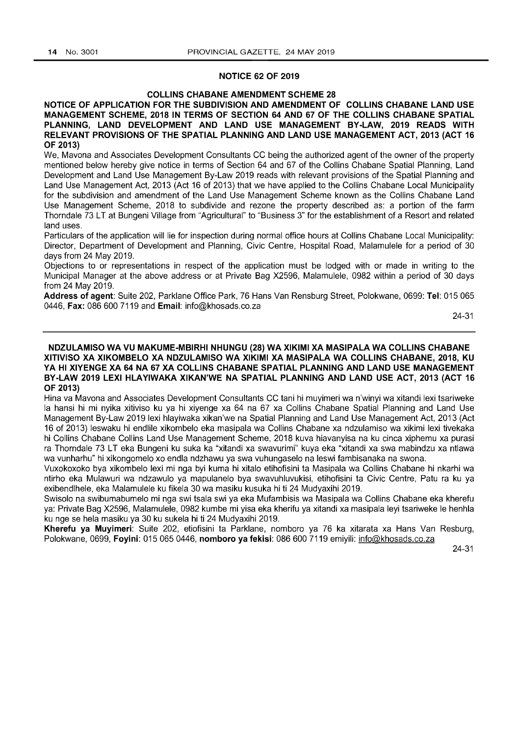#### NOTICE 62 OF 2019

### COLLINS CHABANE AMENDMENT SCHEME 28

NOTICE OF APPLICATION FOR THE SUBDIVISION AND AMENDMENT OF COLLINS CHABANE LAND USE MANAGEMENT SCHEME, 2018 IN TERMS OF SECTION 64 AND 67 OF THE COLLINS CHABANE SPATIAL PLANNING, LAND DEVELOPMENT AND LAND USE MANAGEMENT BY-LAW, 2019 READS WITH RELEVANT PROVISIONS OF THE SPATIAL PLANNING AND LAND USE MANAGEMENT ACT, 2013 (ACT 16 OF 2013)

We, Mavona and Associates Development Consultants CC being the authorized agent of the owner of the property mentioned below hereby give notice in terms of Section 64 and 67 of the Collins Chabane Spatial Planning, Land Development and Land Use Management By-Law 2019 reads with relevant provisions of the Spatial Planning and Land Use Management Act, 2013 (Act 16 of 2013) that we have applied to the Collins Chabane Local Municipality for the subdivision and amendment of the Land Use Management Scheme known as the Collins Chabane Land Use Management Scheme, 2018 to subdivide and rezone the property described as: a portion of the farm Thorndale 73 LT at Bungeni Village from "Agricultural" to "Business 3" for the establishment of a Resort and related land uses.

Particulars of the application will lie for inspection during normal office hours at Collins Chabane Local Municipality: Director, Department of Development and Planning, Civic Centre, Hospital Road, Malamulele for a period of 30 days from 24 May 2019.

Objections to or representations in respect of the application must be lodged with or made in writing to the Municipal Manager at the above address or at Private Bag X2596, Malamulele, 0982 within a period of 30 days from 24 May 2019.

Address of agent: Suite 202, Parklane Office Park, 76 Hans Van Rensburg Street, Polokwane, 0699: Tel: 015065 0446, Fax: 086 600 7119 and Email: info@khosads.co.za

24-31

NDZULAMISO WA VU MAKUME-MBIRHI NHUNGU (28) WA XIKIMI XA MASIPALA WA COLLINS CHABANE XITIVISO XA XIKOMBELO XA NDZULAMISO WA XIKIMI XA MASIPALA WA COLLINS CHABANE, 2018, KU YA HI XIYENGE XA 64 NA 67 XA COLLINS CHABANE SPATIAL PLANNING AND LAND USE MANAGEMENT BY-LAW 2019 LEXI HLAYIWAKA XIKAN'WE NA SPATIAL PLANNING AND LAND USE ACT, 2013 (ACT 16 OF 2013)

Hina va Mavona and Associates Development Consultants CC tani hi muyimeri wa n'winyi wa xitandi lexi tsariweke la hansi hi mi nyika xitiviso ku ya hi xiyenge xa 64 na 67 xa Collins Chabane Spatial Planning and Land Use Management By-Law 2019 lexi hlayiwaka xikan'we na Spatial Planning and Land Use Management Act, 2013 (Act 16 of 2013) leswaku hi endlile xikombelo eka masipala wa Collins Chabane xa ndzulamiso wa xikimi lexi tivekaka hi Collins Chabane Collins Land Use Management Scheme, 2018 kuva hiavanyisa na ku cinca xiphemu xa purasi ra Thorndale 73 LT eka Bungeni ku suka ka "xitandi xa swavurimi" kuya eka "xitandi xa swa mabindzu xa ntlawa wa vunharhu" hi xikongomelo xo endla ndzhawu ya swa vuhungaselo na leswi fambisanaka na swona.

Vuxokoxoko bya xikombelo lexi mi nga byi kuma hi xitalo etihofisini ta Masipala wa Collins Chabane hi nkarhi wa ntirho eka Mulawuri wa ndzawulo ya mapulanelo bya swavuhluvukisi, etihofisini ta Civic Centre, Patu ra ku ya exibendlhele, eka Malamulele ku fikela 30 wa masiku kusuka hi ti 24 Mudyaxihi 2019.

Swisolo na swibumabumelo mi nga swi tsala swi ya eka Mufambisis wa Masipala wa Collins Chabane eka kherefu ya: Private Bag X2596, Malamulele, 0982 kumbe mi yisa eka kherifu ya xitandi xa masipala leyi tsariweke Ie henhla ku nge se hela masiku ya 30 ku sukela hi ti 24 Mudyaxihi 2019.

Kherefu ya Muyimeri: Suite 202, etiofisini ta Parklane, nomboro ya 76 ka xitarata xa Hans Van Resburg, Polokwane, 0699, Foyini: 015 065 0446, nomboro ya fekisi: 086 600 7119 emiyili: info@khosads.co.za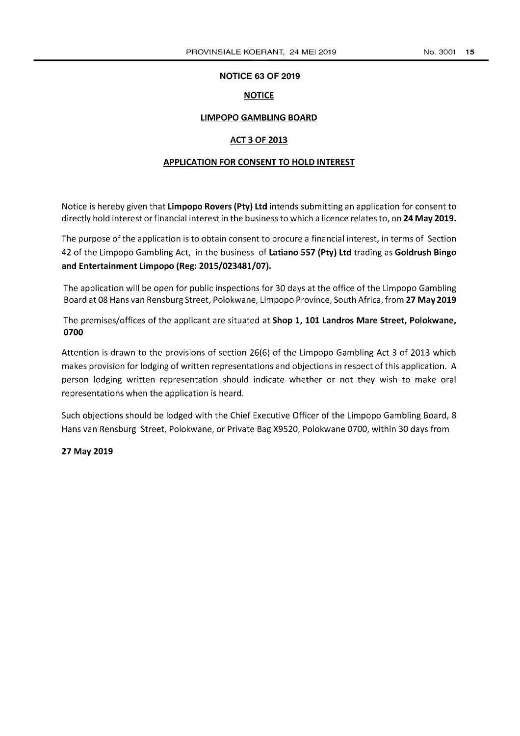## **NOTICE 63 OF 2019**

## **NOTICE**

## **LIMPOPO GAMBLING BOARD**

## **ACT 3 OF 2013**

## **APPLICATION FOR CONSENT TO HOLD INTEREST**

Notice is hereby given that **Limpopo Rovers (Pty) ltd** intends submitting an application for consent to directly hold interest or financial interest in the business to which a licence relates to, on **24 May 2019.** 

The purpose of the application is to obtain consent to procure a financial interest, in terms of Section **42** of the Limpopo Gambling Act, in the business of **Latiano 557 (Pty) ltd** trading as **Goldrush Bingo and Entertainment Limpopo (Reg: 2015/023481/07).** 

The application will be open for public inspections for 30 days at the office of the Limpopo Gambling Board at 08 Hans van Rensburg Street, Polokwane, Limpopo Province, South Africa, from **27 May 2019** 

The premises/offices of the applicant are situated at **Shop 1, 101 Landros Mare Street, Polokwane, 0700** 

Attention is drawn to the provisions of section 26(6) of the Limpopo Gambling Act 3 of 2013 which makes provision for lodging of written representations and objections in respect of this application. A person lodging written representation should indicate whether or not they wish to make oral representations when the application is heard.

Such objections should be lodged with the Chief Executive Officer of the Limpopo Gambling Board, 8 Hans van Rensburg Street, Polokwane, or Private Bag X9520, Polokwane 0700, within 30 days from

**27 May 2019**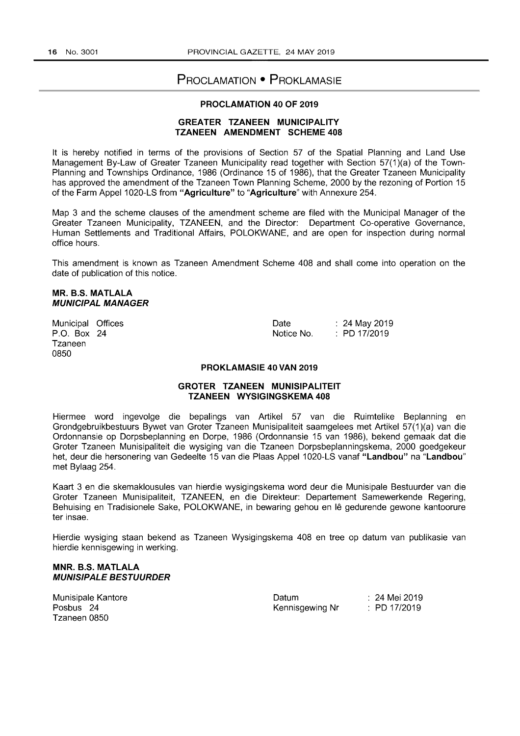# PROCLAMATION • PROKLAMASIE

## PROCLAMATION 40 OF 2019

## GREATER TZANEEN MUNICIPALITY TZANEEN AMENDMENT SCHEME 408

It is hereby notified in terms of the provisions of Section 57 of the Spatial Planning and Land Use Management By-Law of Greater Tzaneen Municipality read together with Section 57(1)(a) of the Town-Planning and Townships Ordinance, 1986 (Ordinance 15 of 1986), that the Greater Tzaneen Municipality has approved the amendment of the Tzaneen Town Planning Scheme, 2000 by the rezoning of Portion 15 of the Farm Appel 1020-LS from "Agriculture" to "Agriculture" with Annexure 254.

Map 3 and the scheme clauses of the amendment scheme are filed with the Municipal Manager of the Greater Tzaneen Municipality, TZANEEN, and the Director: Department Co-operative Governance, Human Settlements and Traditional Affairs, POLOKWANE, and are open for inspection during normal office hours.

This amendment is known as Tzaneen Amendment Scheme 408 and shall come into operation on the date of publication of this notice.

### MR. B.S. MATLALA MUNICIPAL MANAGER

Municipal Offices P.O. Box 24 Tzaneen 0850

Date Notice No. 24 May 2019  $\therefore$  PD 17/2019

### PROKLAMASIE 40 VAN 2019

### GROTER TZANEEN MUNISIPALITEIT TZANEEN WYSIGINGSKEMA 408

Hiermee word ingevolge die bepalings van Artikel 57 van die Ruimtelike Beplanning en Grondgebruikbestuurs Bywet van Groter Tzaneen Munisipaliteit saamgelees met Artikel 57(1 )(a) van die Ordonnansie op Dorpsbeplanning en Dorpe, 1986 (Ordonnansie 15 van 1986), bekend gemaak dat die Groter Tzaneen Munisipaliteit die wysiging van die Tzaneen Dorpsbeplanningskema, 2000 goedgekeur het, deur die hersonering van Gedeelte 15 van die Plaas Appel 1020-LS vanaf "Landbou" na "Landbou" met Bylaag 254.

Kaart 3 en die skemaklousules van hierdie wysigingskema word deur die Munisipale Bestuurder van die Groter Tzaneen Munisipaliteit, TZANEEN, en die Direkteur: Departement Samewerkende Regering, Behuising en Tradisionele Sake, POLOKWANE, in bewaring gehou en Ie gedurende gewone kantoorure ter insae.

Hierdie wysiging staan bekend as Tzaneen Wysigingskema 408 en tree op datum van publikasie van hierdie kennisgewing in werking.

#### MNR. B.S. MATLALA MUNISIPALE BESTUURDER

Munisipale Kantore Posbus 24 Tzaneen 0850

Datum Kennisgewing Nr 24 Mei 2019 PD 17/2019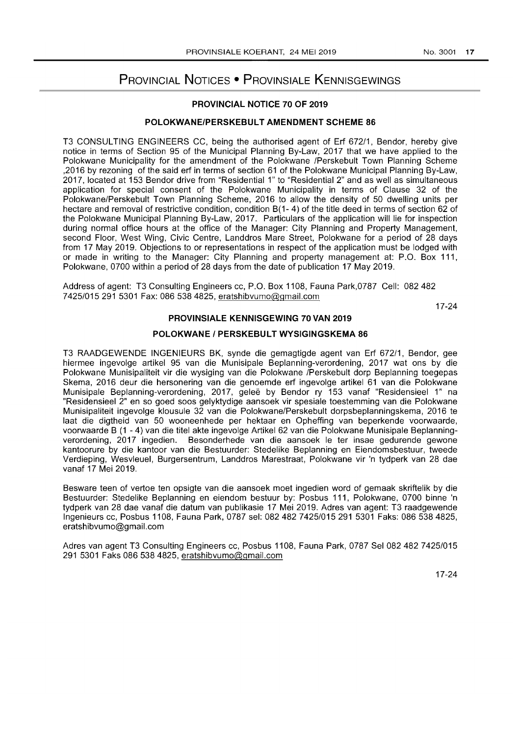# PROVINCIAL NOTICES • PROVINSIALE KENNISGEWINGS

## PROVINCIAL NOTICE 70 OF 2019

## POLOKWANE/PERSKEBULT AMENDMENT SCHEME 86

T3 CONSULTING ENGINEERS CC, being the authorised agent of Erf 672/1, Bendor, hereby give notice in terms of Section 95 of the Municipal Planning By-Law, 2017 that we have applied to the Polokwane Municipality for the amendment of the Polokwane IPerskebult Town Planning Scheme ,2016 by rezoning of the said erf in terms of section 61 of the Polokwane Municipal Planning By-Law, 2017, located at 153 Bendor drive from "Residential 1" to "Residential 2" and as well as simultaneous application for special consent of the Polokwane Municipality in terms of Clause 32 of the Polokwane/Perskebult Town Planning Scheme, 2016 to allow the density of 50 dwelling units per hectare and removal of restrictive condition, condition B(1-4) of the title deed in terms of section 62 of the Polokwane Municipal Planning By-Law, 2017. Particulars of the application will lie for inspection during normal office hours at the office of the Manager: City Planning and Property Management, second Floor, West Wing, Civic Centre, Landdros Mare Street, Polokwane for a period of 28 days from 17 May 2019. Objections to or representations in respect of the application must be lodged with or made in writing to the Manager: City Planning and property management at: P.O. Box 111, Polokwane, 0700 within a period of 28 days from the date of publication 17 May 2019.

Address of agent: T3 Consulting Engineers cc, P.O. Box 1108, Fauna Park,0787 Cell: 082482 7425/015291 5301 Fax: 086 5384825, eratshibvumo@gmail.com

17-24

#### PROVINSIALE KENNISGEWING 70 VAN 2019

#### POLOKWANE / PERSKEBULT WYSIGINGSKEMA 86

T3 RAADGEWENDE INGENIEURS BK, synde die gemagtigde agent van Erf 672/1, Bendor, gee hiermee ingevolge artikel 95 van die Munisipale Beplanning-verordening, 2017 wat ons by die Polokwane Munisipaliteit vir die wysiging van die Polokwane /Perskebult dorp Beplanning toegepas Skema, 2016 deur die hersonering van die genoemde erf ingevolge artikel 61 van die Polokwane Munisipale Beplanning-verordening, 2017, gelee by Bendor ry 153 vanaf "Residensieel 1" na "Residensieel 2" en so goed soos gelyktydige aansoek vir spesiale toestemming van die Polokwane Munisipaliteit ingevolge klousule 32 van die Polokwane/Perskebult dorpsbeplanningskema, 2016 te laat die digtheid van 50 wooneenhede per hektaar en Opheffing van beperkende voorwaarde, voorwaarde B (1 - 4) van die lite I akte ingevolge Artikel 62 van die Polokwane Munisipale Beplanningverordening, 2017 ingedien. Besonderhede van die aansoek Ie ter insae gedurende gewone kantoorure by die kantoor van die Bestuurder: Stedelike Beplanning en Eiendomsbestuur, tweede Verdieping, Wesvleuel, Burgersentrum, Landdros Marestraat, Polokwane vir 'n tydperk van 28 dae vanaf 17 Mei 2019.

Besware teen of vertoe ten opsigte van die aansoek moet ingedien word of gemaak skriftelik by die Bestuurder: Stedelike Beplanning en eiendom bestuur by: Posbus 111, Polokwane, 0700 binne 'n tydperk van 28 dae vanaf die datum van publikasie 17 Mei 2019. Adres van agent: T3 raadgewende Ingenieurs cc, Posbus 1108, Fauna Park, 0787 sel: 082 482 7425/015 291 5301 Faks: 0865384825, eratshibvumo@gmail.com

Adres van agent T3 Consulting Engineers cc, Posbus 1108, Fauna Park, 0787 Sel 0824827425/015 291 5301 Faks 086 538 4825, eratshibvumo@gmail.com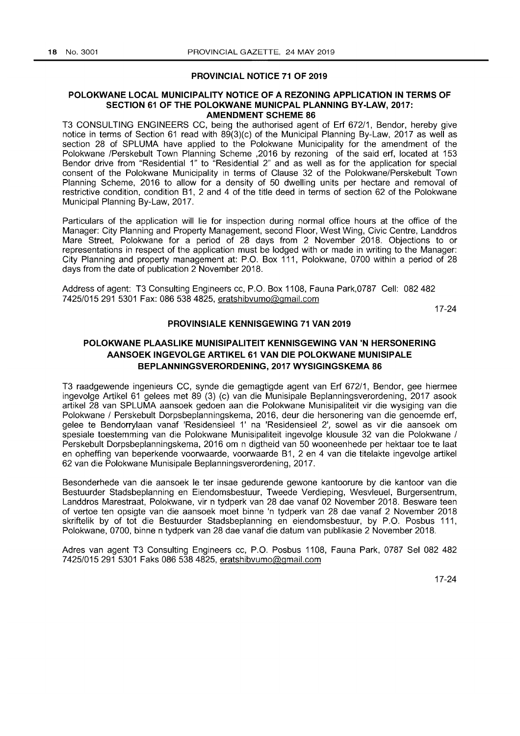## **PROVINCIAL NOTICE 71 OF 2019**

### **POLOKWANE LOCAL MUNICIPALITY NOTICE OF A REZONING APPLICATION IN TERMS OF SECTION 61 OF THE POLOKWANE MUNICPAL PLANNING BY-LAW, 2017:**  AMENDMENT SCHEME 86

T3 CONSULTING ENGINEERS CC, being the authorised agent of Erf 672/1, Bendor, hereby give notice in terms of Section 61 read with 89(3)(c) of the Municipal Planning By-Law, 2017 as well as section 28 of SPLUMA have applied to the Polokwane Municipality for the amendment of the Polokwane /Perskebult Town Planning Scheme ,2016 by rezoning of the said erf, located at 153 Bendor drive from "Residential 1" to "Residential 2" and as well as for the application for special consent of the Polokwane Municipality in terms of Clause 32 of the Polokwane/Perskebult Town Planning Scheme, 2016 to allow for a density of 50 dwelling units per hectare and removal of restrictive condition, condition B1, 2 and 4 of the title deed in terms of section 62 of the Polokwane Municipal Planning By-Law, 2017.

Particulars of the application will lie for inspection during normal office hours at the office of the Manager: City Planning and Property Management, second Floor, West Wing, Civic Centre, Landdros Mare Street, Polokwane for a period of 28 days from 2 November 2018. Objections to or representations in respect of the application must be lodged with or made in writing to the Manager: City Planning and property management at: P.O. Box 111, Polokwane, 0700 within a period of 28 days from the date of publication 2 November 2018.

Address of agent: T3 Consulting Engineers cc, P.O. Box 1108, Fauna Park,0787 Cell: 082482 7425/015291 5301 Fax: 086 5384825, eratshibvumo@qmail.com

17-24

#### **PROVINSIALE KENNISGEWING 71 VAN 2019**

## **POLOKWANE PLAASLIKE MUNISIPALITEIT KENNISGEWING VAN 'N HERSONERING AANSOEK INGEVOLGE ARTIKEL 61 VAN DIE POLOKWANE MUNISIPALE BEPLANNINGSVERORDENING, 2017 WYSIGINGSKEMA 86**

T3 raadgewende ingenieurs CC, synde die gemagtigde agent van Erf 672/1, Bendor, gee hiermee ingevolge Artikel 61 gelees met 89 (3) (c) van die Munisipale Beplanningsverordening, 2017 asook artikel 28 van SPLUMA aansoek gedoen aan die Polokwane Munisipaliteit vir die wysiging van die Polokwane 1 Perskebult Dorpsbeplanningskema, 2016, deur die hersonering van die genoemde erf, gelee te Bendorrylaan vanaf 'Residensieel l' na 'Residensieel 2', sowel as vir die aansoek om spesiale toestemming van die Polokwane Munisipaliteit ingevolge klousule 32 van die Polokwane 1 Perskebult Dorpsbeplanningskema, 2016 om n digtheid van 50 wooneenhede per hektaar toe te laat en opheffing van beperkende voorwaarde, voorwaarde B1, 2 en 4 van die titelakte ingevolge artikel 62 van die Polokwane Munisipale Beplanningsverordening, 2017.

Besonderhede van die aansoek Ie ter insae gedurende gewone kantoorure by die kantoor van die Bestuurder Stadsbeplanning en Eiendomsbestuur, Tweede Verdieping, Wesvleuel, Burgersentrum, Landdros Marestraat, Polokwane, vir n tydperk van 28 dae vanaf 02 November 2018. Besware teen of vertoe ten opsigte van die aansoek moet binne 'n tydperk van 28 dae vanaf 2 November 2018 skriftelik by of tot die Bestuurder Stadsbeplanning en eiendomsbestuur, by P.O. Posbus 111, Polokwane, 0700, binne n tydperk van 28 dae vanaf die datum van publikasie 2 November 2018.

Adres van agent T3 Consulting Engineers cc, P.O. Posbus 1108, Fauna Park, 0787 Sel 082 482 7425/015291 5301 Faks 086 5384825, eratshibvumo@qmail.com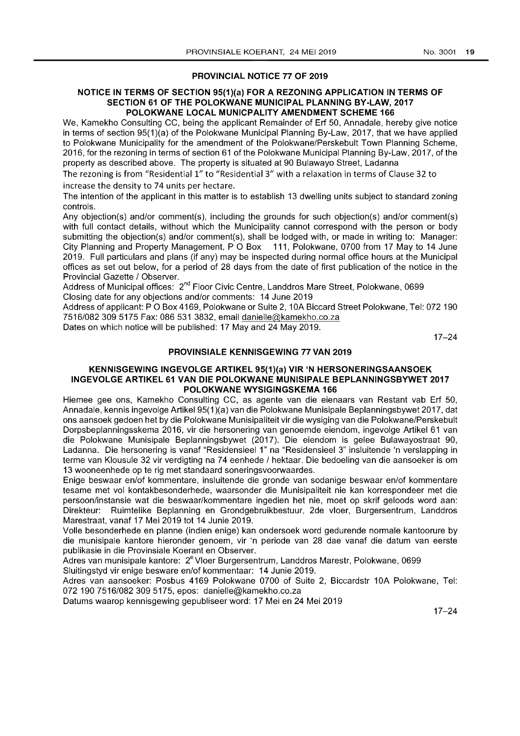## PROVINCIAL NOTICE 77 OF 2019

### NOTICE IN TERMS OF SECTION 95(1)(a) FOR A REZONING APPLICATION IN TERMS OF SECTION 61 OF THE POLOKWANE MUNICIPAL PLANNING BY-LAW, 2017 POLOKWANE LOCAL MUNICPALITY AMENDMENT SCHEME 166

We, Kamekho Consulting CC, being the applicant Remainder of Erf 50, Annadale, hereby give notice in terms of section 95(1)(a) of the Polokwane Municipal Planning By-Law, 2017, that we have applied to Polokwane Municipality for the amendment of the Polokwane/Perskebult Town Planning Scheme, 2016, for the rezoning in terms of section 61 of the Polokwane Municipal Planning By-Law, 2017, of the property as described above. The property is situated at 90 Bulawayo Street, Ladanna

The rezoning is from "Residential 1" to "Residential 3" with a relaxation in terms of Clause 32 to increase the density to 74 units per hectare.

The intention of the applicant in this matter is to establish 13 dwelling units subject to standard zoning controls.

Any objection(s) and/or comment(s), including the grounds for such objection(s) and/or comment(s) with full contact details, without which the Municipality cannot correspond with the person or body submitting the objection(s) and/or comment(s), shall be lodged with, or made in writing to: Manager: City Planning and Property Management, P O Box 111, Polokwane, 0700 from 17 May to 14 June 2019. Full particulars and plans (if any) may be inspected during normal office hours at the Municipal offices as set out below, for a period of 28 days from the date of first publication of the notice in the Provincial Gazette / Observer.

Address of Municipal offices:  $2^{nd}$  Floor Civic Centre, Landdros Mare Street, Polokwane, 0699 Closing date for any objections and/or comments: 14 June 2019

Address of applicant: POBox 4169, Polokwane or Suite 2, 10A Biccard Street Polokwane, Tel: 072 190 7516/0823095175 Fax: 086 531 3832, email danielle@kamekho.co.za

Dates on which notice will be published: 17 May and 24 May 2019.

17-24

## PROVINSIALE KENNISGEWING 77 VAN 2019

## KENNISGEWING INGEVOLGE ARTIKEL 95(1)(a) VIR 'N HERSONERINGSAANSOEK INGEVOLGE ARTIKEL 61 VAN DIE POLOKWANE MUNISIPALE BEPLANNINGSBYWET 2017 POLOKWANE WYSIGINGSKEMA 166

Hiemee gee ons, Kamekho Consulting CC, as agente van die eienaars van Restant vab Erf 50, Annadale, kennis ingevolge Artikel 95(1 )(a) van die Polokwane Munisipale Beplanningsbywet 2017, dat ons aansoek gedoen het by die Polokwane Munisipaliteit vir die wysiging van die Polokwane/Perskebult Dorpsbeplanningsskema 2016, vir die hersonering van genoemde eiendom, ingevolge Artikel 61 van die Polokwane Munisipale Beplanningsbywet (2017). Die eiendom is gelee Bulawayostraat 90, Ladanna. Die hersonering is vanaf "Residensieel 1" na "Residensieel 3" insluitende 'n verslapping in terme van Klousule 32 vir verdigting na 74 eenhede / hektaar. Die bedoeling van die aansoeker is om 13 wooneenhede op te rig met standaard soneringsvoorwaardes.

Enige beswaar en/of kommentare, insluitende die gronde van sodanige beswaar en/of kommentare tesame met vol kontakbesonderhede, waarsonder die Munisipaliteit nie kan korrespondeer met die persoon/instansie wat die beswaar/kommentare ingedien het nie, moet op skrif geloods word aan: Direkteur: Ruimtelike Beplanning en Grondgebruikbestuur, 2de vloer, Burgersentrum, Landdros Marestraat, vanaf 17 Mei 2019 tot 14 Junie 2019.

Volle besonderhede en planne (indien enige) kan ondersoek word gedurende normale kantoorure by die munisipale kantore hieronder genoem, vir 'n periode van 28 dae vanaf die datum van eerste publikasie in die Provinsiale Koerant en Observer.

Adres van munisipale kantore: 2<sup>e</sup> Vloer Burgersentrum, Landdros Marestr, Polokwane, 0699 Sluitingstyd vir enige besware en/of kommentaar: 14 Junie 2019.

Adres van aansoeker: Posbus 4169 Polokwane 0700 of Suite 2, Biccardstr 10A Polokwane, Tel: 072 190 7516/082 309 5175, epos: danielle@kamekho.co.za

Datums waarop kennisgewing gepubliseer word: 17 Mei en 24 Mei 2019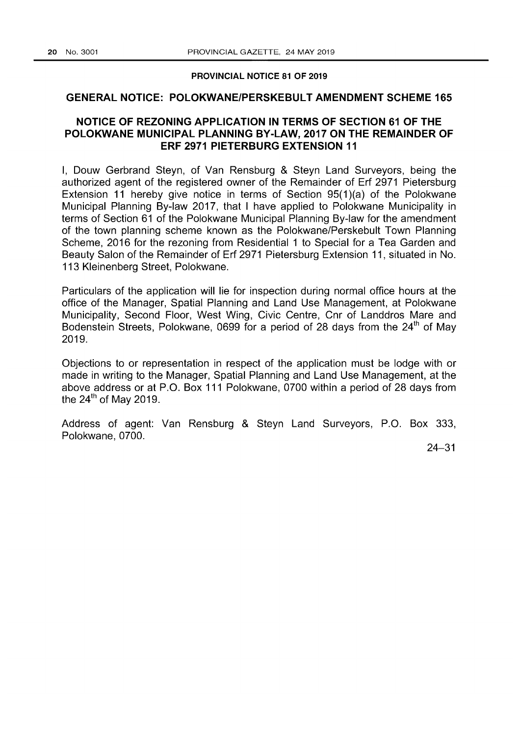#### **PROVINCIAL NOTICE 81 OF 2019**

## **GENERAL NOTICE: POLOKWANE/PERSKEBULT AMENDMENT SCHEME 165**

## **NOTICE OF REZONING APPLICATION IN TERMS OF SECTION 61 OF THE POLOKWANE MUNICIPAL PLANNING BY-LAW, 2017 ON THE REMAINDER OF ERF 2971 PIETERBURG EXTENSION 11**

I, Douw Gerbrand Steyn, of Van Rensburg & Steyn Land Surveyors, being the authorized agent of the registered owner of the Remainder of Erf 2971 Pietersburg Extension **11** hereby give notice in terms of Section 95(1 )(a) of the Polokwane Municipal Planning By-law 2017, that I have applied to Polokwane Municipality in terms of Section 61 of the Polokwane Municipal Planning By-law for the amendment of the town planning scheme known as the Polokwane/Perskebult Town Planning Scheme, 2016 for the rezoning from Residential 1 to Special for a Tea Garden and Beauty Salon of the Remainder of Erf 2971 Pietersburg Extension **11,** situated in No. 113 Kleinenberg Street, Polokwane.

Particulars of the application will lie for inspection during normal office hours at the office of the Manager, Spatial Planning and Land Use Management, at Polokwane Municipality, Second Floor, West Wing, Civic Centre, Cnr of Landdros Mare and Bodenstein Streets, Polokwane, 0699 for a period of 28 days from the 24<sup>th</sup> of May 2019.

Objections to or representation in respect of the application must be lodge with or made in writing to the Manager, Spatial Planning and Land Use Management, at the above address or at P.O. Box **111** Polokwane, 0700 within a period of 28 days from the  $24<sup>th</sup>$  of May 2019.

Address of agent: Van Rensburg & Steyn Land Surveyors, P.O. Box 333, Polokwane, 0700.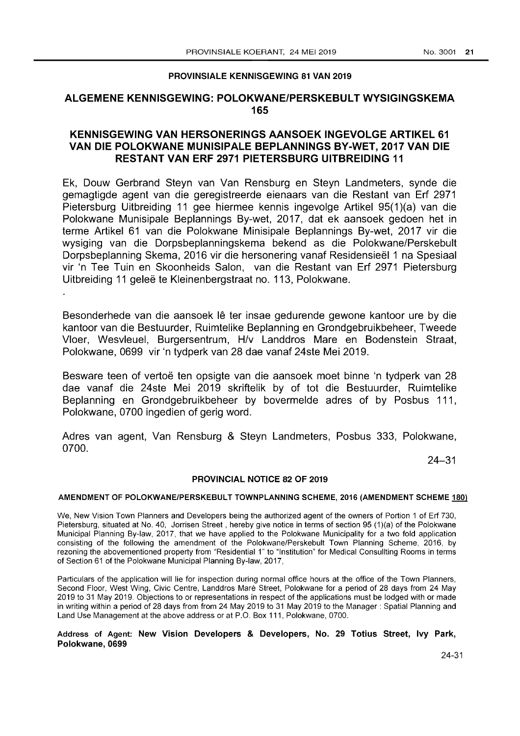## PROVINSIALE KENNISGEWING 81 VAN 2019

## ALGEMENE KENNISGEWING: POLOKWANE/PERSKEBULT WYSIGINGSKEMA 165

## KENNISGEWING VAN HERSONERINGS AANSOEK INGEVOLGE ARTIKEL 61 VAN DIE POLOKWANE MUNISIPALE BEPLANNINGS BY-WET, 2017 VAN DIE RESTANT VAN ERF 2971 PIETERSBURG UITBREIDING 11

Ek, Douw Gerbrand Steyn van Van Rensburg en Steyn Landmeters, synde die gemagtigde agent van die geregistreerde eienaars van die Restant van Erf 2971 Pietersburg Uitbreiding 11 gee hiermee kennis ingevolge Artikel 95(1 )(a) van die Polokwane Munisipale Beplannings By-wet, 2017, dat ek aansoek gedoen het in terme Artikel 61 van die Polokwane Minisipale Beplannings By-wet, 2017 vir die wysiging van die Dorpsbeplanningskema bekend as die Polokwane/Perskebult Dorpsbeplanning Skema, 2016 vir die hersonering vanaf Residensieel 1 na Spesiaal vir 'n Tee Tuin en Skoonheids Salon, van die Restant van Erf 2971 Pietersburg Uitbreiding 11 geleë te Kleinenbergstraat no. 113, Polokwane.

Besonderhede van die aansoek Ie ter insae gedurende gewone kantoor ure by die kantoor van die Bestuurder, Ruimtelike Beplanning en Grondgebruikbeheer, Tweede Vloer, Wesvleuel, Burgersentrum, H/v Landdros Mare en Bodenstein Straat, Polokwane, 0699 vir 'n tydperk van 28 dae vanaf 24ste Mei 2019.

Besware teen of vertoë ten opsigte van die aansoek moet binne 'n tydperk van 28 dae vanaf die 24ste Mei 2019 skriftelik by of tot die Bestuurder, Ruimtelike Beplanning en Grondgebruikbeheer by bovermelde adres of by Posbus 111, Polokwane, 0700 ingedien of gerig word.

Adres van agent, Van Rensburg & Steyn Landmeters, Posbus 333, Polokwane, 0700.

24-31

## PROVINCIAL NOTICE 82 OF 2019

### AMENDMENT OF POLOKWANE/PERSKEBULT TOWNPLANNING SCHEME, 2016 (AMENDMENT SCHEME 180)

We, New Vision Town Planners and Developers being the authorized agent of the owners of Portion 1 of Erf 730, Pietersburg, situated at No. 40, Jorrisen Street, hereby give notice in terms of section 95 (1)(a) of the Polokwane Municipal Planning By-law, 2017, that we have applied to the Polokwane Municipality for a two fold application consisting of the following the amendment of the Polokwane/Perskebult Town Planning Scheme, 2016, by rezoning the abovementioned property from "Residential 1" to "Institution" for Medical Consullting Rooms in terms of Section 61 of the Polokwane Municipal Planning By-law, 2017,

Particulars of the application will lie for inspection during normal office hours at the office of the Town Planners, Second Floor, West Wing, Civic Centre, Landdros Mare Street, Polokwane for a period of 28 days from 24 May 2019 to 31 May 2019. Objections to or representations in respect of the applications must be lodged with or made in writing within a period of 28 days from from 24 May 2019 to 31 May 2019 to the Manager: Spatial Planning and Land Use Management at the above address or at P.O. Box 111, Polokwane, 0700.

## Address of Agent: New Vision Developers & Developers, No. 29 Totius Street, Ivy Park, Polokwane, 0699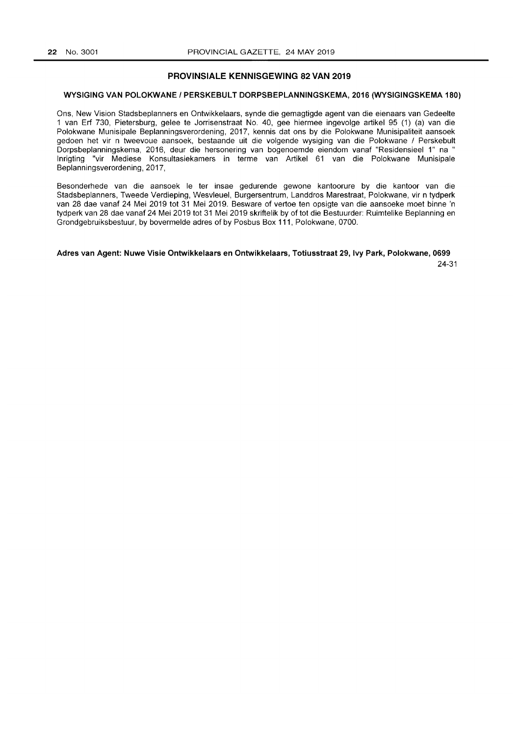#### **PROVINSIALE KENNISGEWING 82 VAN 2019**

#### **WYSIGING VAN POLOKWANE I PERSKEBULT DORPSBEPLANNINGSKEMA, 2016 (WYSIGINGSKEMA 180)**

Ons, New Vision Stadsbeplanners en Ontwikkelaars, synde die gemagtigde agent van die eienaars van Gedeelte 1 van Erf 730, Pietersburg, gelee te Jorrisenstraat No. 40, gee hiermee ingevolge artikel 95 (1) (a) van die Polokwane Munisipale Beplanningsverordening, 2017, kennis dat ons by die Polokwane Munisipaliteit aansoek gedoen het vir n tweevoue aansoek, bestaande uit die volgende wysiging van die Polokwane I Perskebult Dorpsbeplanningskema, 2016, deur die hersonering van bogenoemde eiendom vanaf "Residensieel 1" na " Inrigting "vir Mediese Konsultasiekamers in terme van Artikel 61 van die Polokwane Munisipale Beplanningsverordening, 2017,

Besonderhede van die aansoek Ie ter insae gedurende gewone kantoorure by die kantoor van die Stadsbeplanners, Tweede Verdieping, Wesvleuel, Burgersentrum, Landdros Marestraat, Polokwane, vir n tydperk van 28 dae vanaf 24 Mei 2019 tot 31 Mei 2019. Besware of vertoe ten opsigte van die aansoeke moet binne 'n tydperk van 28 dae vanaf 24 Mei 2019 tot 31 Mei 2019 skriftelik by of tot die Bestuurder: Ruimtelike Beplanning en Grondgebruiksbestuur, by bovermelde adres of by Posbus Box 111, Polokwane, 0700.

**Adres van Agent: Nuwe Visie Ontwikkelaars en Ontwikkelaars, Totiusstraat** 29, Ivy **Park,** Polokwane, **0699**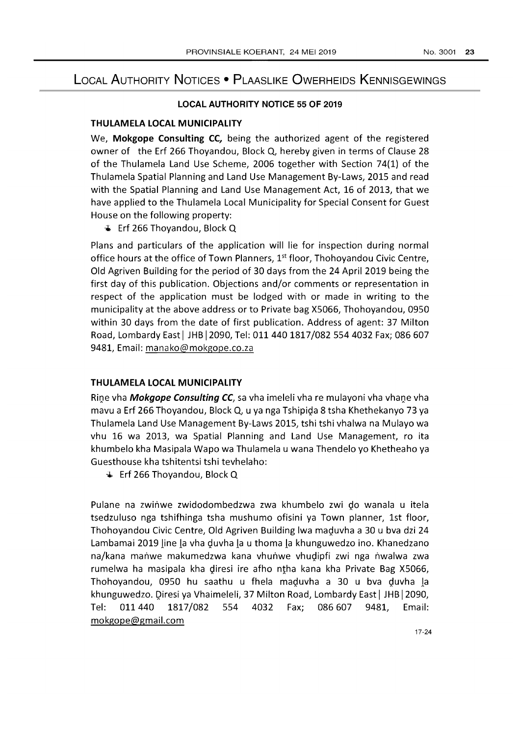# LOCAL AUTHORITY NOTICES • PLAASLIKE OWERHEIDS KENNISGEWINGS

## **LOCAL AUTHORITY NOTICE 55 OF 2019**

## **THULAMELA LOCAL MUNICIPALITY**

We, **Mokgope Consulting CC,** being the authorized agent of the registered owner of the Erf 266 Thoyandou, Block 0, hereby given in terms of Clause 28 of the Thulamela Land Use Scheme, 2006 together with Section 74(1) of the Thulamela Spatial Planning and Land Use Management By-Laws, 2015 and read with the Spatial Planning and Land Use Management Act, 16 of 2013, that we have applied to the Thulamela Local Municipality for Special Consent for Guest House on the following property:

 $\triangleq$  Erf 266 Thoyandou, Block Q

Plans and particulars of the application will lie for inspection during normal office hours at the office of Town Planners,  $1<sup>st</sup>$  floor, Thohoyandou Civic Centre, Old Agriven Building for the period of 30 days from the 24 April 2019 being the first day of this publication. Objections and/or comments or representation in respect of the application must be lodged with or made in writing to the municipality at the above address or to Private bag X5066, Thohoyandou, 0950 within 30 days from the date of first publication. Address of agent: 37 Milton Road, Lombardy East | JHB | 2090, Tel: 011 440 1817/082 554 4032 Fax; 086 607 9481, Email: manako@mokgope.co.za

## **THULAMELA LOCAL MUNICIPALITY**

Rine vha *Mokgope Consulting CC*, sa vha imeleli vha re mulayoni vha vhane vha mavu a Erf 266 Thoyandou, Block 0, u ya nga Tshipiga 8 tsha Khethekanyo 73 ya Thulamela Land Use Management By-Laws 2015, tshi tshi vhalwa na Mulayo wa vhu 16 wa 2013, wa Spatial Planning and Land Use Management, ro ita khumbelo kha Masipala Wapo wa Thulamela u wana Thendelo yo Khetheaho ya Guesthouse kha tshitentsi tshi tevhelaho:

 $\overline{\phantom{a}}$  Erf 266 Thoyandou, Block Q

Pulane na zwińwe zwidodombedzwa zwa khumbelo zwi do wanala u itela tsedzuluso nga tshifhinga tsha mushumo ofisini ya Town planner, 1st floor, Thohoyandou Civic Centre, Old Agriven Building Iwa maguvha a 30 u bva dzi 24 Lambamai 2019 line la vha guvha la u thoma la khunguwedzo ino. Khanedzano na/kana manwe makumedzwa kana vhunwe vhudipfi zwi nga nwalwa zwa rumelwa ha masipala kha diresi ire afho ntha kana kha Private Bag X5066, Thohoyandou, 0950 hu saathu u fhela maguvha a 30 u bva guvha la khunguwedzo. Diresi ya Vhaimeleli, 37 Milton Road, Lombardy East | JHB | 2090, Tel: 011440 1817/082 554 4032 Fax; 086607 9481, Email: mokgope@gmail.com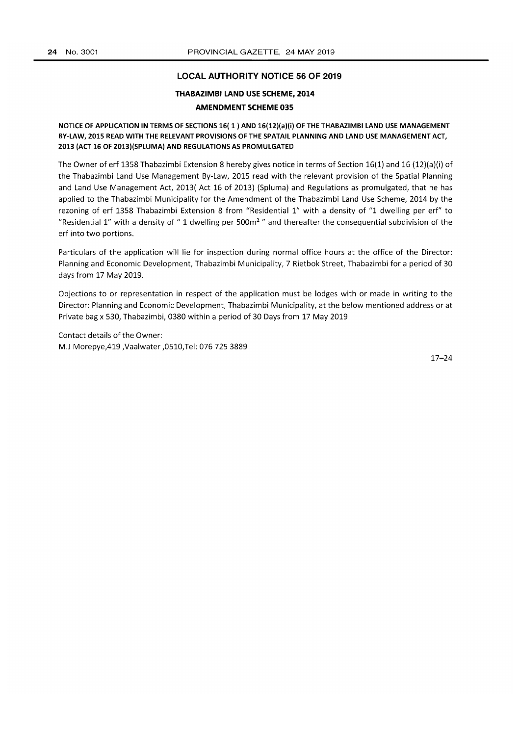### **LOCAL AUTHORITY NOTICE 56 OF 2019**

## **THABAZIMBI LAND USE SCHEME, 2014 AMENDMENT SCHEME 035**

### **NOTICE OF APPLICATION IN TERMS OF SECTIONS 16( 1 ) AND 16(12)(a)(i) OF THE THABAZIMBI LAND USE MANAGEMENT BY-LAW, 2015 READ WITH THE RElEVANT PROVISIONS OF THE SPATAIL PLANNING AND LAND USE MANAGEMENT ACT, 2013 (ACT 16 OF 2013)(SPLUMA) AND REGULATIONS AS PROMULGATED**

The Owner of erf 1358 Thabazimbi Extension 8 hereby gives notice in terms of Section 16(1) and 16 (12)(a)(i) of the Thabazimbi Land Use Management By-Law, 2015 read with the relevant provision of the Spatial Planning and Land Use Management Act, 2013( Act 16 of 2013) (Spluma) and Regulations as promulgated, that he has applied to the Thabazimbi Municipality for the Amendment of the Thabazimbi Land Use Scheme, 2014 by the rezoning of erf 1358 Thabazimbi Extension 8 from "Residential 1" with a density of "1 dwelling per erf" to "Residential  $1$ " with a density of " 1 dwelling per 500m<sup>2</sup> " and thereafter the consequential subdivision of the erf into two portions.

Particulars of the application will lie for inspection during normal office hours at the office of the Director: Planning and Economic Development, Thabazimbi Municipality, 7 Rietbok Street, Thabazimbi for a period of 30 days from 17 May 2019.

Objections to or representation in respect of the application must be lodges with or made in writing to the Director: Planning and Economic Development, Thabazimbi Municipality, at the below mentioned address or at Private bag x 530, Thabazimbi, 0380 within a period of 30 Days from 17 May 2019

Contact details of the Owner: M.J Morepye,419 ,Vaalwater ,0510,Tel: 076 725 3889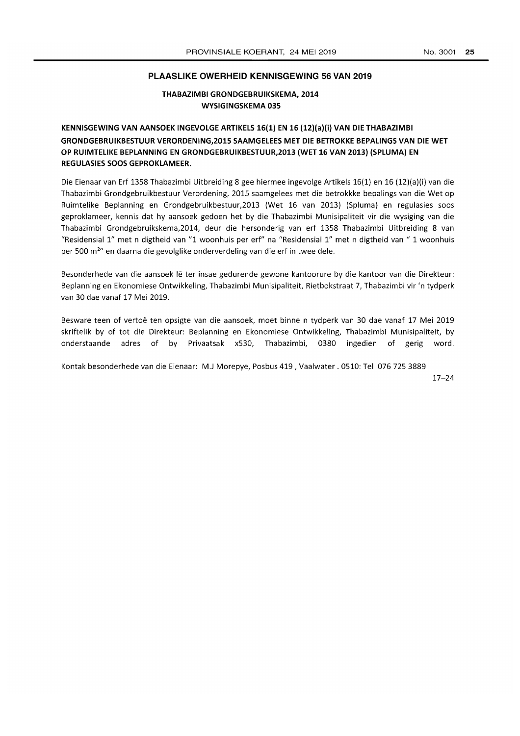#### **PLAASLIKE OWERHEID KENNISGEWING 56 VAN 2019**

## **THABAZIMBI GRONDGEBRUIKSKEMA, 2014 WYSIGINGSKEMA 035**

## **KENNISGEWING VAN AANSOEK INGEVOLGE ARTIKELS 16(1) EN 16 (12)(a)(i) VAN DIE THABAZIMBI GRONDGEBRUIKBESTUUR VERORDENING,2015 SAAMGELEES MET DIE BETROKKE BEPALINGS VAN DIE WET OP RUIMTELIKE BEPLANNING EN GRONDGEBRUIKBESTUUR,2013 (WET 16 VAN 2013) (SPLUMA) EN REGULASIES SOOS GEPROKLAMEER.**

Die Eienaar van Erf 1358 Thabazimbi Uitbreiding 8 gee hiermee ingevolge Artikels 16(1) en 16 (12)(a)(i) van die Thabazimbi Grondgebruikbestuur Verordening, 2015 saamgelees met die betrokkke bepalings van die Wet op Ruimtelike Beplanning en Grondgebruikbestuur,2013 (Wet 16 van 2013) (Spluma) en regulasies 5005 geproklameer, kennis dat hy aansoek gedoen het by die Thabazimbi Munisipaliteit vir die wysiging van die Thabazimbi Grondgebruikskema,2014, deur die hersonderig van erf 1358 Thabazimbi Uitbreiding 8 van "Residensial 1" met n digtheid van "1 woonhuis per erf" na "Residensial 1" met n digtheid van "1 woonhuis per 500 m<sup>2</sup><sup>n</sup> en daarna die gevolglike onderverdeling van die erf in twee dele.

Besonderhede van die aansoek lê ter insae gedurende gewone kantoorure by die kantoor van die Direkteur: Beplanning en Ekonomiese Ontwikkeling, Thabazimbi Munisipaliteit, Rietbokstraat 7, Thabazimbi vir 'n tydperk van 30 dae vanaf 17 Mei 2019.

Besware teen of vertoë ten opsigte van die aansoek, moet binne n tydperk van 30 dae vanaf 17 Mei 2019 skriftelik by of tot die Direkteur: Beplanning en Ekonomiese Ontwikkeling, Thabazimbi Munisipaliteit, by onderstaande adres of by Privaatsak x530, Thabazimbi, 0380 ingedien of gerig word.

Kontak besonderhede van die Eienaar: M.J Morepye, Posbus 419 , Vaalwater . 0510: Tel 0767253889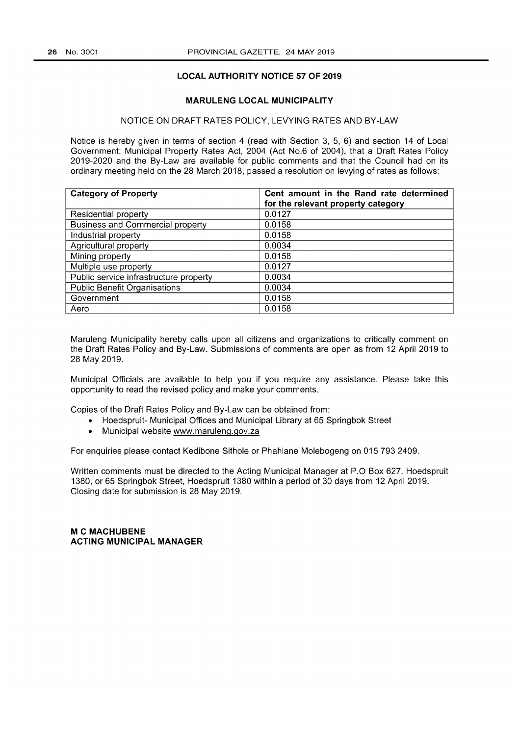## **LOCAL AUTHORITY NOTICE 57 OF 2019**

### **MARULENG LOCAL MUNICIPALITY**

## NOTICE ON DRAFT RATES POLICY, LEVYING RATES AND BY-LAW

Notice is hereby given in terms of section 4 (read with Section 3, 5, 6) and section 14 of Local Government: Municipal Property Rates Act, 2004 (Act NO.6 of 2004), that a Draft Rates Policy 2019-2020 and the By-Law are available for public comments and that the Council had on its ordinary meeting held on the 28 March 2018, passed a resolution on levying of rates as follows:

| <b>Category of Property</b>             | Cent amount in the Rand rate determined |
|-----------------------------------------|-----------------------------------------|
|                                         | for the relevant property category      |
| Residential property                    | 0.0127                                  |
| <b>Business and Commercial property</b> | 0.0158                                  |
| Industrial property                     | 0.0158                                  |
| Agricultural property                   | 0.0034                                  |
| Mining property                         | 0.0158                                  |
| Multiple use property                   | 0.0127                                  |
| Public service infrastructure property  | 0.0034                                  |
| <b>Public Benefit Organisations</b>     | 0.0034                                  |
| Government                              | 0.0158                                  |
| Aero                                    | 0.0158                                  |

Maruleng Municipality hereby calls upon all citizens and organizations to critically comment on the Draft Rates Policy and By-Law. Submissions of comments are open as from 12 April 2019 to 28 May 2019.

Municipal Officials are available to help you if you require any assistance. Please take this opportunity to read the revised policy and make your comments.

Copies of the Draft Rates Policy and By-Law can be obtained from:

- Hoedspruit- Municipal Offices and Municipal Library at 65 Springbok Street
- Municipal website www.maruleng.gov.za

For enquiries please contact Kedibone Sithole or Phahlane Molebogeng on 015 793 2409.

Written comments must be directed to the Acting Municipal Manager at P.O Box 627, Hoedspruit 1380, or 65 Springbok Street, Hoedspruit 1380 within a period of 30 days from 12 April 2019. Closing date for submission is 28 May 2019.

M **C MACHUBENE ACTING MUNICIPAL MANAGER**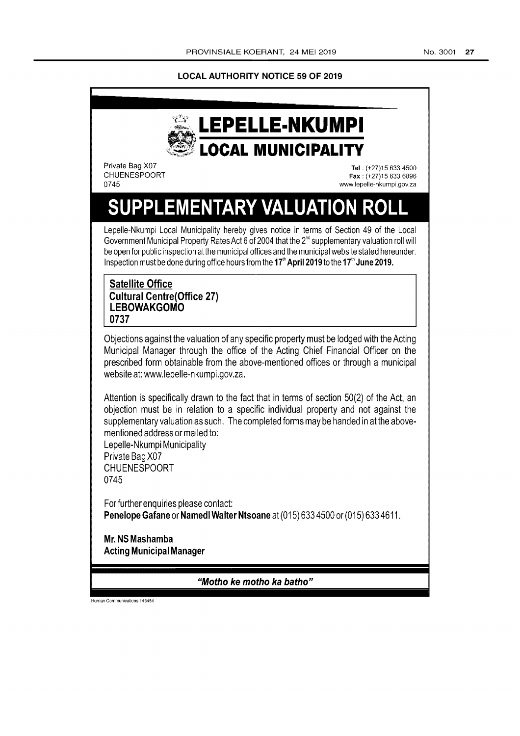## **LOCAL AUTHORITY NOTICE 59 OF 2019**

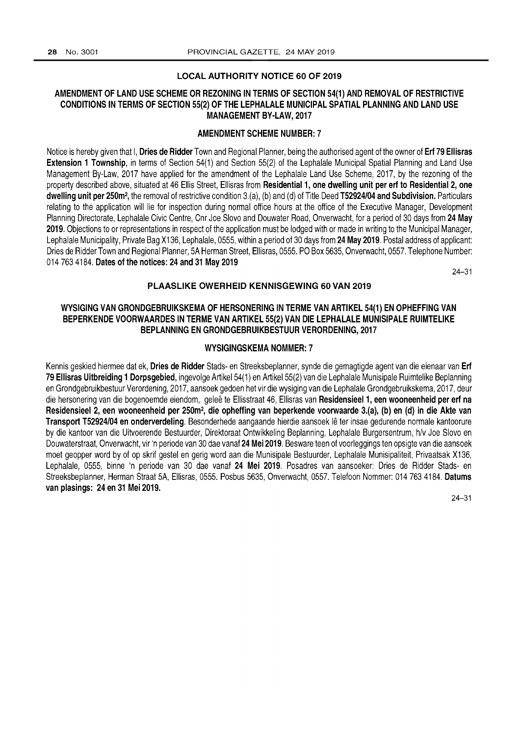## LOCAL AUTHORITY NOTICE 60 OF 2019

## AMENDMENT OF LAND USE SCHEME OR REZONING IN TERMS OF SECTION 54(1) AND REMOVAL OF RESTRICTIVE CONDITIONS IN TERMS OF SECTION 55(2) OF THE LEPHALALE MUNICIPAL SPATIAL PLANNING AND LAND USE MANAGEMENT BY-LAW, 2017

## AMENDMENT SCHEME NUMBER: 7

Notice is hereby given that I, Dries de Ridder Town and Regional Planner, being the authorised agent of the owner of Erf 79 Ellisras Extension 1 Township, in terms of Section 54(1) and Section 55(2) of the Lephalale Municipal Spatial Planning and Land Use Management By-Law, 2017 have applied for the amendment of the Lephalale Land Use Scheme, 2017, by the rezoning of the property described above, situated at 46 Ellis Street, Ellisras from Residential 1 , one dwelling unit per erf to Residential 2, one dwelling unit per 250m2, the removal of restrictive condition 3.(a), (b) and (d) of Title Deed *T52924/04* and Subdivision. Particulars relating to the application will lie for inspection during normal office hours at the office of the Executive Manager, Development Planning Directorate, Lephalale Civic Centre, Cnr Joe Slovo and Douwater Road, Onverwacht, for a period of 30 days from 24 May 2019. Objections to or representations in respect of the application must be lodged with or made in writing to the Municipal Manager, Lephalale Municipality, Private Bag X136, Lephalale, 0555, within a period of 30 days from 24 May 2019. Postal address of applicant: Dries de Ridder Town and Regional Planner, 5A Herman Street, Ellisras, 0555. PO Box 5635, Onverwacht, 0557. Telephone Number: 014 763 4184. Dates of the notices: 24 and 31 May 2019

24-31

## PLAASLIKE OWERHEID KENNISGEWING 60 VAN 2019

## WYSIGING VAN GRONDGEBRUIKSKEMA OF HERSONERING IN TERME VAN ARTIKEL 54(1) EN OPHEFFING VAN BEPERKENDE VOORWAARDES IN TERME VAN ARTIKEL 55(2) VAN DIE LEPHALALE MUNISIPALE RUIMTELIKE BEPLANNING EN GRONDGEBRUIKBESTUUR VERORDENING, 2017

## WYSIGINGSKEMA NOMMER: 7

Kennis geskied hiermee dat ek, Dries de Ridder Stads- en Streeksbeplanner, synde die gemagtigde agent van die eienaar van Erf 79 Ellisras Uitbreiding 1 Dorpsgebied, ingevolge Artikel 54(1) en Artikel 55(2) van die Lephalale Munisipale Ruimtelike Beplanning en Grondgebruikbestuur Verordening, 2017, aansoek gedoen het vir die wysiging van die Lephalale Grondgebruikskema, 2017, deur die hersonering van die bogenoemde eiendom, geleë te Ellisstraat 46, Ellisras van Residensieel 1, een wooneenheid per erf na Residensieel 2, een wooneenheid per 250m², die opheffing van beperkende voorwaarde 3.(a), (b) en (d) in die Akte van Transport *T52924/04* en onderverdeling. Besonderhede aangaande hierdie aansoek Ie ter insae gedurende normale kantoorure by die kantoor van die Uitvoerende Bestuurder, Direktoraat Ontwikkeling Beplanning, Lephalale Burgersentrum, h/v Joe Siovo en Douwaterstraat, Onverwacht, vir 'n periode van 30 dae vanaf 24 Mei 2019. Besware teen of voorleggings ten opsigte van die aansoek moet geopper word by of op skrif gestel en gerig word aan die Munisipale Bestuurder, Lephalale Munisipaliteit, Privaatsak X136, Lephalale, 0555, binne 'n periode van 30 dae vanaf 24 Mei 2019. Posadres van aansoeker: Dries de Ridder Stads- en Streeksbeplanner, Herman Straat 5A, Ellisras, 0555. Posbus 5635, Onverwacht, 0557. Telefoon Nommer: 0147634184. Datums van plasings: 24 en 31 Mei 2019.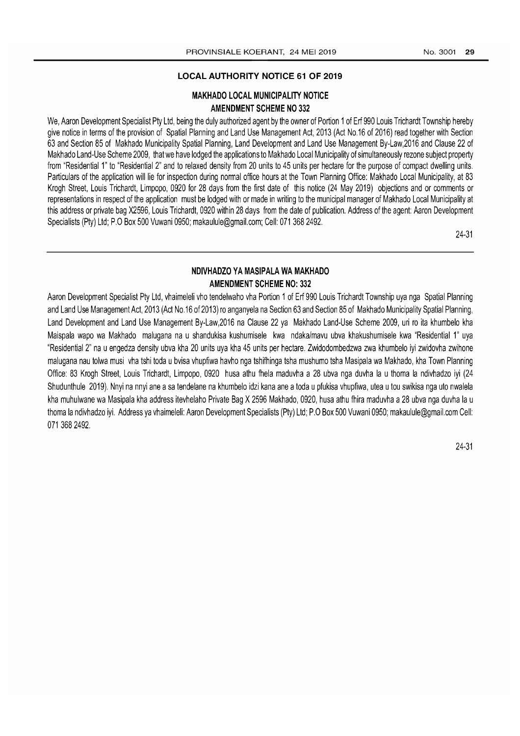## **LOCAL AUTHORITY NOTICE 61 OF 2019**

## **MAKHADO LOCAL MUNICIPALITY NOTICE**  AMENDMENT SCHEME NO 332

We, Aaron Development Specialist Pty Ltd, being the duly authorized agent by the owner of Portion 1 of Erf 990 Louis Trichardt Township hereby give notice in terms of the provision of Spatial Planning and Land Use Management Act, 2013 (Act No.16 of 2016) read together with Section 63 and Section 85 of Makhado Municipality Spatial Planning, Land Development and Land Use Management By-Law,2016 and Clause 22 of Makhado Land-Use Scheme 2009, that we have lodged the applications to Makhado Local Municipality of simultaneously rezone subject property from "Residential 1" to "Residential 2" and to relaxed density from 20 units to 45 units per hectare for the purpose of compact dwelling units. Particulars of the application will lie for inspection during normal office hours at the Town Planning Office: Makhado Local Municipality, at 83 Krogh Street, Louis Trichardt, Limpopo, 0920 for 28 days from the first date of this notice (24 May 2019) objections and or comments or representations in respect of the application must be lodged with or made in writing to the municipal manager of Makhado Local Municipality at this address or private bag X2596, Louis Trichardt, 0920 within 28 days from the date of publication. Address of the agent: Aaron Development Specialists (Pty) Ltd; P.O Box 500 Vuwani 0950; makaulule@gmail.com; Cell: 071 3682492.

24-31

## **NDIVHADZO YA MASIPALA WA MAKHADO AMENDMENT SCHEME NO: 332**

Aaron Development Specialist Pty Ltd, vhaimeleli vho tendelwaho vha Portion 1 of Erf 990 Louis Trichardt Township uya nga Spatial Planning and Land Use Management Act, 2013 (Act No.16 of 2013) ro anganyela na Section 63 and Section 85 of Makhado Municipality Spatial Planning, Land Development and Land Use Management By-Law,2016 na Clause 22 ya Makhado Land-Use Scheme 2009, uri ro ita khumbelo kha Maispala wapo wa Makhado malugana na u shandukisa kushumisele kwa ndaka/mavu ubva khakushumisele kwa "Residential 1" uya "Residential 2" na u engedza density ubva kha 20 units uya kha 45 units per hectare. Zwidodombedzwa zwa khumbelo iyi zwidovha zwihone malugana nau tolwa musi vha tshi toda u bvisa vhupfiwa havho nga tshifhinga tsha mushumo tsha Masipala wa Makhado, kha Town Planning Office: 83 Krogh Street, Louis Trichardt, Limpopo, 0920 husa athu fhela maduvha a 28 ubva nga duvha la u thoma la ndivhadzo iyi (24 Shudunthule 2019). Nnyi na nnyi ane a sa tendelane na khumbelo idzi kana ane a toda u pfukisa vhupfiwa, utea u tou swikisa nga uto nwalela kha muhulwane wa Masipala kha address itevhelaho Private Bag X 2596 Makhado, 0920, husa athu fhira maduvha a 28 ubva nga duvha la u thoma la ndivhadzo iyi. Address ya vhaimeleli: Aaron Development Specialists (Pty) Ltd; P.O Box 500 Vuwani 0950; makaulule@gmail.com Cell: 071 3682492.